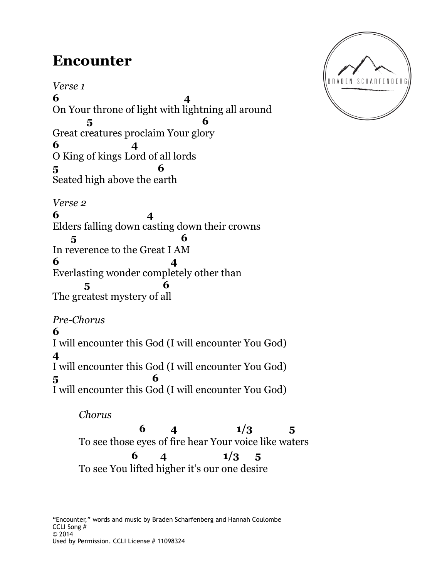## **Encounter**

*Verse 1* **6 4**  On Your throne of light with lightning all around  **5 6** Great creatures proclaim Your glory **6 4**  O King of kings Lord of all lords **5 6** Seated high above the earth *Verse 2* **6 4**  Elders falling down casting down their crowns  **5 6** In reverence to the Great I AM **6 4**  Everlasting wonder completely other than  **5 6** The greatest mystery of all *Pre-Chorus* **6** I will encounter this God (I will encounter You God) **4**

I will encounter this God (I will encounter You God) **5 6** I will encounter this God (I will encounter You God)

 *Chorus*

**6** 4  $1/3$  5 To see those eyes of fire hear Your voice like waters **6** 4  $1/3$  5 To see You lifted higher it's our one desire